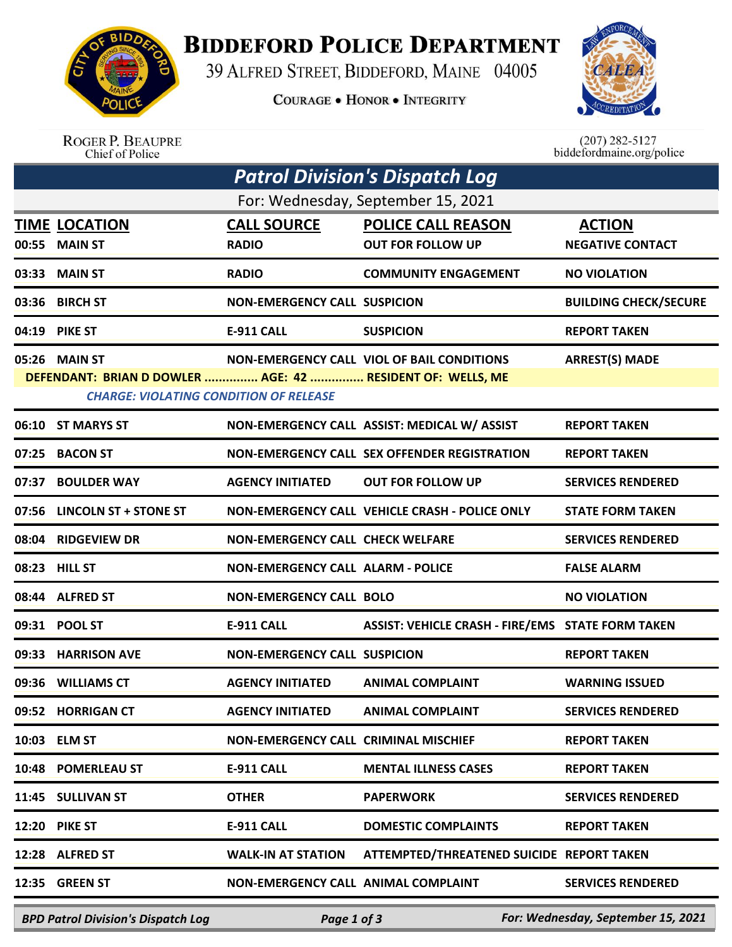

**BIDDEFORD POLICE DEPARTMENT** 

39 ALFRED STREET, BIDDEFORD, MAINE 04005

**COURAGE . HONOR . INTEGRITY** 



ROGER P. BEAUPRE<br>Chief of Police

 $(207)$  282-5127 biddefordmaine.org/police

| <b>Patrol Division's Dispatch Log</b>                                                                       |                             |                                             |                                                   |                              |  |  |  |  |
|-------------------------------------------------------------------------------------------------------------|-----------------------------|---------------------------------------------|---------------------------------------------------|------------------------------|--|--|--|--|
| For: Wednesday, September 15, 2021                                                                          |                             |                                             |                                                   |                              |  |  |  |  |
|                                                                                                             | <b>TIME LOCATION</b>        | <b>CALL SOURCE</b>                          | <b>POLICE CALL REASON</b>                         | <b>ACTION</b>                |  |  |  |  |
| 00:55                                                                                                       | <b>MAIN ST</b>              | <b>RADIO</b>                                | <b>OUT FOR FOLLOW UP</b>                          | <b>NEGATIVE CONTACT</b>      |  |  |  |  |
| 03:33                                                                                                       | <b>MAIN ST</b>              | <b>RADIO</b>                                | <b>COMMUNITY ENGAGEMENT</b>                       | <b>NO VIOLATION</b>          |  |  |  |  |
| 03:36                                                                                                       | <b>BIRCH ST</b>             | <b>NON-EMERGENCY CALL SUSPICION</b>         |                                                   | <b>BUILDING CHECK/SECURE</b> |  |  |  |  |
|                                                                                                             | 04:19 PIKE ST               | <b>E-911 CALL</b>                           | <b>SUSPICION</b>                                  | <b>REPORT TAKEN</b>          |  |  |  |  |
|                                                                                                             | 05:26 MAIN ST               |                                             | <b>NON-EMERGENCY CALL VIOL OF BAIL CONDITIONS</b> | <b>ARREST(S) MADE</b>        |  |  |  |  |
| DEFENDANT: BRIAN D DOWLER  AGE: 42  RESIDENT OF: WELLS, ME<br><b>CHARGE: VIOLATING CONDITION OF RELEASE</b> |                             |                                             |                                                   |                              |  |  |  |  |
|                                                                                                             | 06:10 ST MARYS ST           |                                             | NON-EMERGENCY CALL ASSIST: MEDICAL W/ ASSIST      | <b>REPORT TAKEN</b>          |  |  |  |  |
| 07:25                                                                                                       | <b>BACON ST</b>             |                                             | NON-EMERGENCY CALL SEX OFFENDER REGISTRATION      | <b>REPORT TAKEN</b>          |  |  |  |  |
| 07:37                                                                                                       | <b>BOULDER WAY</b>          | <b>AGENCY INITIATED</b>                     | <b>OUT FOR FOLLOW UP</b>                          | <b>SERVICES RENDERED</b>     |  |  |  |  |
|                                                                                                             | 07:56 LINCOLN ST + STONE ST |                                             | NON-EMERGENCY CALL VEHICLE CRASH - POLICE ONLY    | <b>STATE FORM TAKEN</b>      |  |  |  |  |
|                                                                                                             | 08:04 RIDGEVIEW DR          | <b>NON-EMERGENCY CALL CHECK WELFARE</b>     |                                                   | <b>SERVICES RENDERED</b>     |  |  |  |  |
|                                                                                                             | 08:23 HILL ST               | <b>NON-EMERGENCY CALL ALARM - POLICE</b>    |                                                   | <b>FALSE ALARM</b>           |  |  |  |  |
|                                                                                                             | 08:44 ALFRED ST             | <b>NON-EMERGENCY CALL BOLO</b>              |                                                   | <b>NO VIOLATION</b>          |  |  |  |  |
| 09:31                                                                                                       | <b>POOL ST</b>              | <b>E-911 CALL</b>                           | ASSIST: VEHICLE CRASH - FIRE/EMS STATE FORM TAKEN |                              |  |  |  |  |
|                                                                                                             | 09:33 HARRISON AVE          | <b>NON-EMERGENCY CALL SUSPICION</b>         |                                                   | <b>REPORT TAKEN</b>          |  |  |  |  |
|                                                                                                             | 09:36 WILLIAMS CT           | <b>AGENCY INITIATED</b>                     | <b>ANIMAL COMPLAINT</b>                           | <b>WARNING ISSUED</b>        |  |  |  |  |
|                                                                                                             | 09:52 HORRIGAN CT           | <b>AGENCY INITIATED</b>                     | <b>ANIMAL COMPLAINT</b>                           | <b>SERVICES RENDERED</b>     |  |  |  |  |
|                                                                                                             | 10:03 ELM ST                | <b>NON-EMERGENCY CALL CRIMINAL MISCHIEF</b> |                                                   | <b>REPORT TAKEN</b>          |  |  |  |  |
|                                                                                                             | 10:48 POMERLEAU ST          | <b>E-911 CALL</b>                           | <b>MENTAL ILLNESS CASES</b>                       | <b>REPORT TAKEN</b>          |  |  |  |  |
|                                                                                                             | 11:45 SULLIVAN ST           | <b>OTHER</b>                                | <b>PAPERWORK</b>                                  | <b>SERVICES RENDERED</b>     |  |  |  |  |
|                                                                                                             | <b>12:20 PIKE ST</b>        | <b>E-911 CALL</b>                           | <b>DOMESTIC COMPLAINTS</b>                        | <b>REPORT TAKEN</b>          |  |  |  |  |
|                                                                                                             | 12:28 ALFRED ST             | <b>WALK-IN AT STATION</b>                   | ATTEMPTED/THREATENED SUICIDE REPORT TAKEN         |                              |  |  |  |  |
|                                                                                                             | 12:35 GREEN ST              | NON-EMERGENCY CALL ANIMAL COMPLAINT         |                                                   | <b>SERVICES RENDERED</b>     |  |  |  |  |
|                                                                                                             |                             |                                             |                                                   |                              |  |  |  |  |

*BPD Patrol Division's Dispatch Log Page 1 of 3 For: Wednesday, September 15, 2021*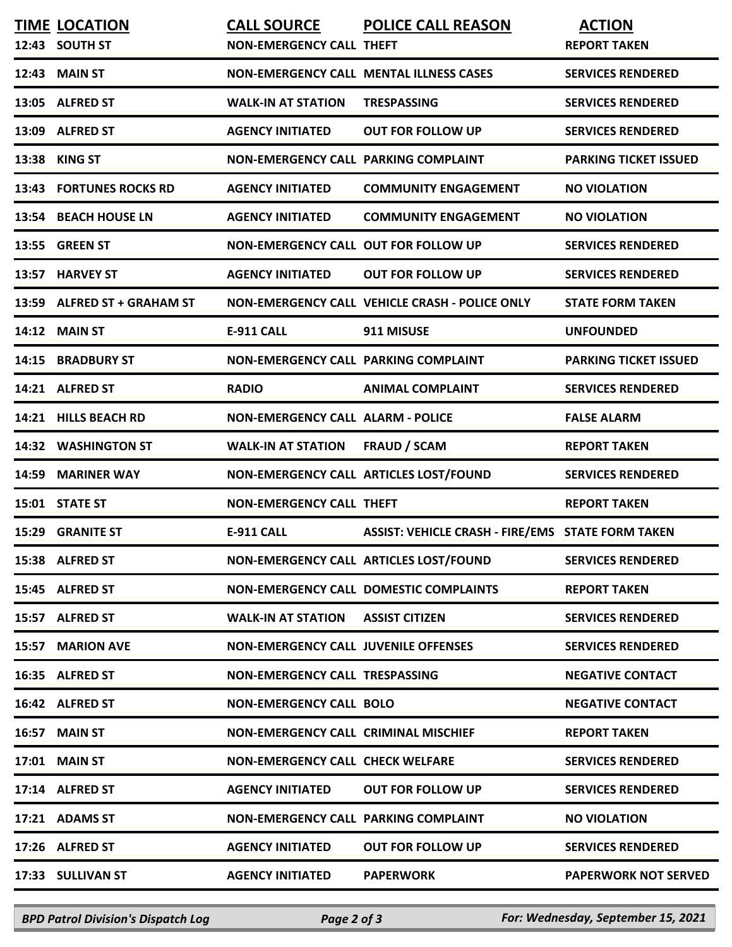|       | <b>TIME LOCATION</b><br>12:43 SOUTH ST | <b>CALL SOURCE</b><br><b>NON-EMERGENCY CALL THEFT</b> | <b>POLICE CALL REASON</b>                                | <b>ACTION</b><br><b>REPORT TAKEN</b> |
|-------|----------------------------------------|-------------------------------------------------------|----------------------------------------------------------|--------------------------------------|
|       | 12:43 MAIN ST                          |                                                       | <b>NON-EMERGENCY CALL MENTAL ILLNESS CASES</b>           | <b>SERVICES RENDERED</b>             |
|       | 13:05 ALFRED ST                        | <b>WALK-IN AT STATION</b>                             | <b>TRESPASSING</b>                                       | <b>SERVICES RENDERED</b>             |
|       | 13:09 ALFRED ST                        | <b>AGENCY INITIATED</b>                               | <b>OUT FOR FOLLOW UP</b>                                 | <b>SERVICES RENDERED</b>             |
|       | 13:38 KING ST                          | NON-EMERGENCY CALL PARKING COMPLAINT                  |                                                          | <b>PARKING TICKET ISSUED</b>         |
|       | <b>13:43 FORTUNES ROCKS RD</b>         | <b>AGENCY INITIATED</b>                               | <b>COMMUNITY ENGAGEMENT</b>                              | <b>NO VIOLATION</b>                  |
|       | 13:54 BEACH HOUSE LN                   | <b>AGENCY INITIATED</b>                               | <b>COMMUNITY ENGAGEMENT</b>                              | <b>NO VIOLATION</b>                  |
|       | 13:55 GREEN ST                         | <b>NON-EMERGENCY CALL OUT FOR FOLLOW UP</b>           |                                                          | <b>SERVICES RENDERED</b>             |
|       | 13:57 HARVEY ST                        | <b>AGENCY INITIATED</b>                               | <b>OUT FOR FOLLOW UP</b>                                 | <b>SERVICES RENDERED</b>             |
|       | 13:59 ALFRED ST + GRAHAM ST            |                                                       | NON-EMERGENCY CALL VEHICLE CRASH - POLICE ONLY           | <b>STATE FORM TAKEN</b>              |
|       | 14:12 MAIN ST                          | <b>E-911 CALL</b>                                     | 911 MISUSE                                               | <b>UNFOUNDED</b>                     |
|       | 14:15 BRADBURY ST                      | NON-EMERGENCY CALL PARKING COMPLAINT                  |                                                          | <b>PARKING TICKET ISSUED</b>         |
|       | 14:21 ALFRED ST                        | <b>RADIO</b>                                          | <b>ANIMAL COMPLAINT</b>                                  | <b>SERVICES RENDERED</b>             |
|       | 14:21 HILLS BEACH RD                   | <b>NON-EMERGENCY CALL ALARM - POLICE</b>              |                                                          | <b>FALSE ALARM</b>                   |
|       | 14:32 WASHINGTON ST                    | <b>WALK-IN AT STATION</b>                             | <b>FRAUD / SCAM</b>                                      | <b>REPORT TAKEN</b>                  |
| 14:59 | <b>MARINER WAY</b>                     |                                                       | NON-EMERGENCY CALL ARTICLES LOST/FOUND                   | <b>SERVICES RENDERED</b>             |
|       | 15:01 STATE ST                         | <b>NON-EMERGENCY CALL THEFT</b>                       |                                                          | <b>REPORT TAKEN</b>                  |
|       | <b>15:29 GRANITE ST</b>                | <b>E-911 CALL</b>                                     | <b>ASSIST: VEHICLE CRASH - FIRE/EMS STATE FORM TAKEN</b> |                                      |
|       | 15:38 ALFRED ST                        |                                                       | NON-EMERGENCY CALL ARTICLES LOST/FOUND                   | <b>SERVICES RENDERED</b>             |
|       | 15:45 ALFRED ST                        |                                                       | NON-EMERGENCY CALL DOMESTIC COMPLAINTS                   | <b>REPORT TAKEN</b>                  |
|       | 15:57 ALFRED ST                        | <b>WALK-IN AT STATION</b>                             | <b>ASSIST CITIZEN</b>                                    | <b>SERVICES RENDERED</b>             |
|       | 15:57 MARION AVE                       | <b>NON-EMERGENCY CALL JUVENILE OFFENSES</b>           |                                                          | <b>SERVICES RENDERED</b>             |
|       | 16:35 ALFRED ST                        | <b>NON-EMERGENCY CALL TRESPASSING</b>                 |                                                          | <b>NEGATIVE CONTACT</b>              |
|       | 16:42 ALFRED ST                        | <b>NON-EMERGENCY CALL BOLO</b>                        |                                                          | <b>NEGATIVE CONTACT</b>              |
|       | 16:57 MAIN ST                          | <b>NON-EMERGENCY CALL CRIMINAL MISCHIEF</b>           |                                                          | <b>REPORT TAKEN</b>                  |
|       | 17:01 MAIN ST                          | <b>NON-EMERGENCY CALL CHECK WELFARE</b>               |                                                          | <b>SERVICES RENDERED</b>             |
|       | 17:14 ALFRED ST                        | <b>AGENCY INITIATED</b>                               | <b>OUT FOR FOLLOW UP</b>                                 | <b>SERVICES RENDERED</b>             |
|       | 17:21 ADAMS ST                         | NON-EMERGENCY CALL PARKING COMPLAINT                  |                                                          | <b>NO VIOLATION</b>                  |
|       | 17:26 ALFRED ST                        | <b>AGENCY INITIATED</b>                               | <b>OUT FOR FOLLOW UP</b>                                 | <b>SERVICES RENDERED</b>             |
|       | 17:33 SULLIVAN ST                      | <b>AGENCY INITIATED</b>                               | <b>PAPERWORK</b>                                         | <b>PAPERWORK NOT SERVED</b>          |

*BPD Patrol Division's Dispatch Log Page 2 of 3 For: Wednesday, September 15, 2021*